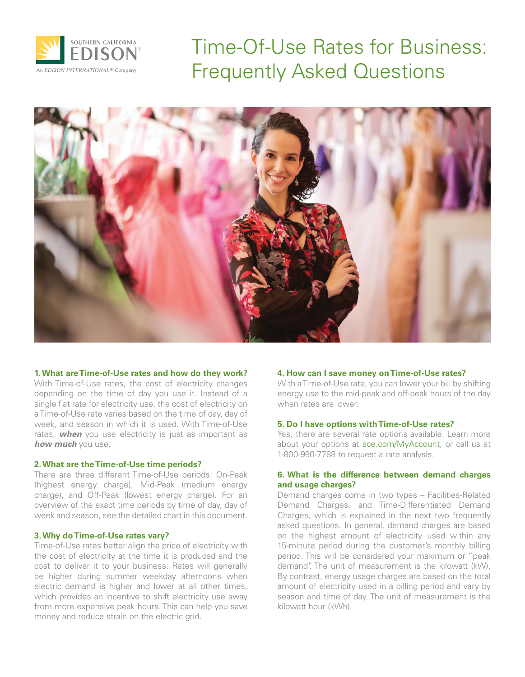

Time-Of-Use Rates for Business: Frequently Asked Questions



## **1. What are Time-of-Use rates and how do they work?**

With Time-of-Use rates, the cost of electricity changes depending on the time of day you use it. Instead of a single flat rate for electricity use, the cost of electricity on a Time-of-Use rate varies based on the time of day, day of week, and season in which it is used. With Time-of-Use rates, *when* you use electricity is just as important as *how much* you use.

#### **2. What are the Time-of-Use time periods?**

There are three different Time-of-Use periods: On-Peak (highest energy charge), Mid-Peak (medium energy charge), and Off-Peak (lowest energy charge). For an overview of the exact time periods by time of day, day of week and season, see the detailed chart in this document.

#### **3. Why do Time-of-Use rates vary?**

Time-of-Use rates better align the price of electricity with the cost of electricity at the time it is produced and the cost to deliver it to your business. Rates will generally be higher during summer weekday afternoons when electric demand is higher and lower at all other times, which provides an incentive to shift electricity use away from more expensive peak hours. This can help you save money and reduce strain on the electric grid.

## **4. How can I save money on Time-of-Use rates?**

With a Time-of-Use rate, you can lower your bill by shifting energy use to the mid-peak and off-peak hours of the day when rates are lower.

### **5. Do I have options with Time-of-Use rates?**

Yes, there are several rate options available. Learn more about your options at sce.com/MyAccount, or call us at 1-800-990-7788 to request a rate analysis.

# **6. What is the difference between demand charges and usage charges?**

Demand charges come in two types – Facilities-Related Demand Charges, and Time-Differentiated Demand Charges, which is explained in the next two frequently asked questions. In general, demand charges are based on the highest amount of electricity used within any 15-minute period during the customer's monthly billing period. This will be considered your maximum or "peak demand". The unit of measurement is the kilowatt (kW). By contrast, energy usage charges are based on the total amount of electricity used in a billing period and vary by season and time of day. The unit of measurement is the kilowatt hour (kWh).